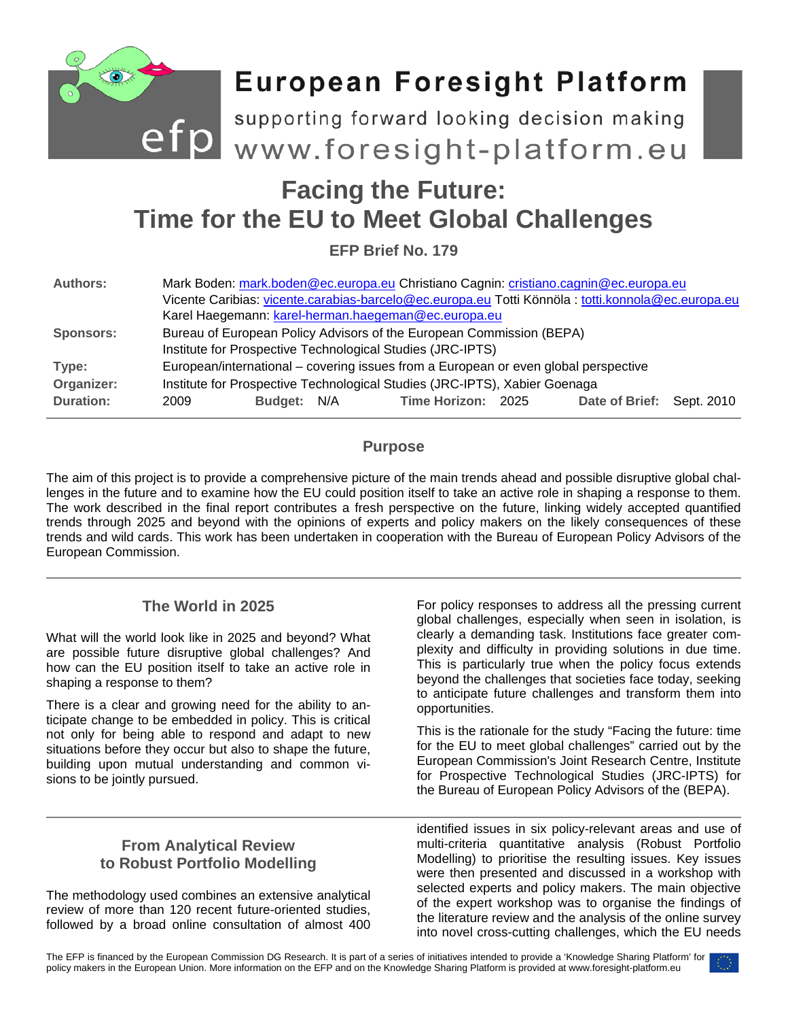

# **Time for the EU to Meet Global Challenges**

**EFP Brief No. 179**

| <b>Authors:</b>  | Mark Boden: mark.boden@ec.europa.eu Christiano Cagnin: cristiano.cagnin@ec.europa.eu               |             |  |                    |  |                           |  |
|------------------|----------------------------------------------------------------------------------------------------|-------------|--|--------------------|--|---------------------------|--|
|                  | Vicente Caribias: vicente.carabias-barcelo@ec.europa.eu Totti Könnöla : totti.konnola@ec.europa.eu |             |  |                    |  |                           |  |
|                  | Karel Haegemann: karel-herman.haegeman@ec.europa.eu                                                |             |  |                    |  |                           |  |
| <b>Sponsors:</b> | Bureau of European Policy Advisors of the European Commission (BEPA)                               |             |  |                    |  |                           |  |
|                  | Institute for Prospective Technological Studies (JRC-IPTS)                                         |             |  |                    |  |                           |  |
| Type:            | European/international – covering issues from a European or even global perspective                |             |  |                    |  |                           |  |
| Organizer:       | Institute for Prospective Technological Studies (JRC-IPTS), Xabier Goenaga                         |             |  |                    |  |                           |  |
| <b>Duration:</b> | 2009                                                                                               | Budget: N/A |  | Time Horizon: 2025 |  | Date of Brief: Sept. 2010 |  |

## **Purpose**

The aim of this project is to provide a comprehensive picture of the main trends ahead and possible disruptive global challenges in the future and to examine how the EU could position itself to take an active role in shaping a response to them. The work described in the final report contributes a fresh perspective on the future, linking widely accepted quantified trends through 2025 and beyond with the opinions of experts and policy makers on the likely consequences of these trends and wild cards. This work has been undertaken in cooperation with the Bureau of European Policy Advisors of the European Commission.

# **The World in 2025**

What will the world look like in 2025 and beyond? What are possible future disruptive global challenges? And how can the EU position itself to take an active role in shaping a response to them?

There is a clear and growing need for the ability to anticipate change to be embedded in policy. This is critical not only for being able to respond and adapt to new situations before they occur but also to shape the future, building upon mutual understanding and common visions to be jointly pursued.

For policy responses to address all the pressing current global challenges, especially when seen in isolation, is clearly a demanding task. Institutions face greater complexity and difficulty in providing solutions in due time. This is particularly true when the policy focus extends beyond the challenges that societies face today, seeking to anticipate future challenges and transform them into opportunities.

This is the rationale for the study "Facing the future: time for the EU to meet global challenges" carried out by the European Commission's Joint Research Centre, Institute for Prospective Technological Studies (JRC-IPTS) for the Bureau of European Policy Advisors of the (BEPA).

## **From Analytical Review to Robust Portfolio Modelling**

The methodology used combines an extensive analytical review of more than 120 recent future-oriented studies, followed by a broad online consultation of almost 400

identified issues in six policy-relevant areas and use of multi-criteria quantitative analysis (Robust Portfolio Modelling) to prioritise the resulting issues. Key issues were then presented and discussed in a workshop with selected experts and policy makers. The main objective of the expert workshop was to organise the findings of the literature review and the analysis of the online survey into novel cross-cutting challenges, which the EU needs

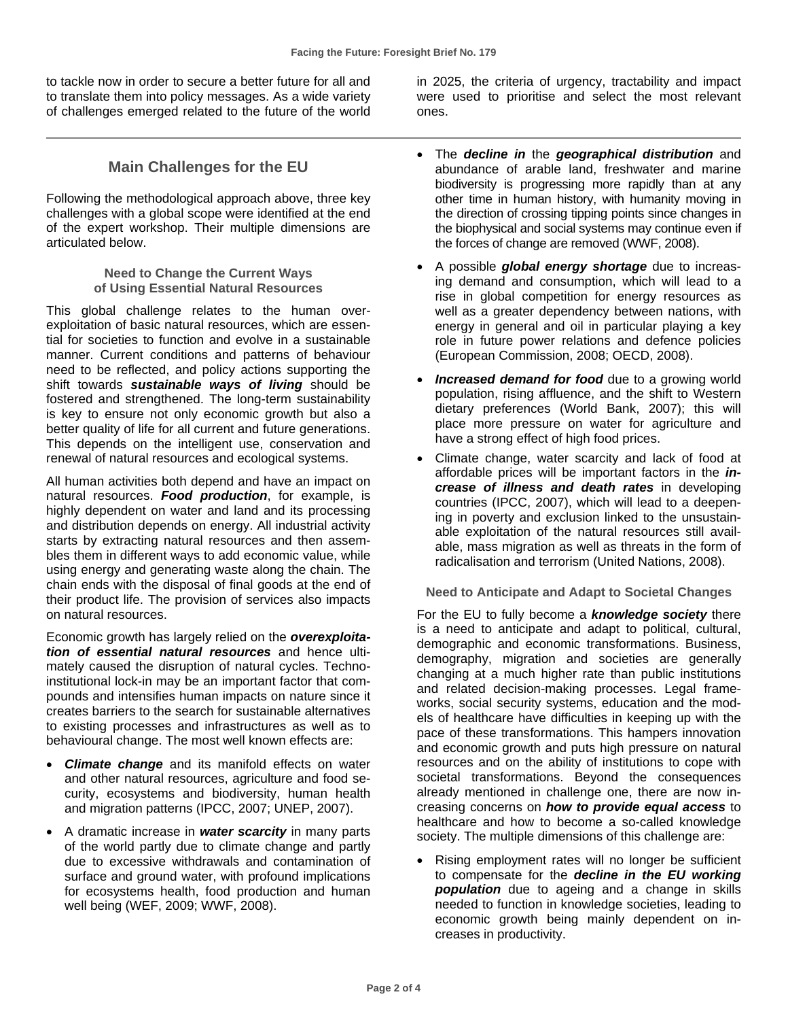to tackle now in order to secure a better future for all and to translate them into policy messages. As a wide variety of challenges emerged related to the future of the world

**Main Challenges for the EU**

Following the methodological approach above, three key challenges with a global scope were identified at the end of the expert workshop. Their multiple dimensions are articulated below.

> **Need to Change the Current Ways of Using Essential Natural Resources**

This global challenge relates to the human overexploitation of basic natural resources, which are essential for societies to function and evolve in a sustainable manner. Current conditions and patterns of behaviour need to be reflected, and policy actions supporting the shift towards *sustainable ways of living* should be fostered and strengthened. The long-term sustainability is key to ensure not only economic growth but also a better quality of life for all current and future generations. This depends on the intelligent use, conservation and renewal of natural resources and ecological systems.

All human activities both depend and have an impact on natural resources. *Food production*, for example, is highly dependent on water and land and its processing and distribution depends on energy. All industrial activity starts by extracting natural resources and then assembles them in different ways to add economic value, while using energy and generating waste along the chain. The chain ends with the disposal of final goods at the end of their product life. The provision of services also impacts on natural resources.

Economic growth has largely relied on the *overexploitation of essential natural resources* and hence ultimately caused the disruption of natural cycles. Technoinstitutional lock-in may be an important factor that compounds and intensifies human impacts on nature since it creates barriers to the search for sustainable alternatives to existing processes and infrastructures as well as to behavioural change. The most well known effects are:

- *Climate change* and its manifold effects on water and other natural resources, agriculture and food security, ecosystems and biodiversity, human health and migration patterns (IPCC, 2007; UNEP, 2007).
- A dramatic increase in *water scarcity* in many parts of the world partly due to climate change and partly due to excessive withdrawals and contamination of surface and ground water, with profound implications for ecosystems health, food production and human well being (WEF, 2009; WWF, 2008).

in 2025, the criteria of urgency, tractability and impact were used to prioritise and select the most relevant ones.

- The *decline in* the *geographical distribution* and abundance of arable land, freshwater and marine biodiversity is progressing more rapidly than at any other time in human history, with humanity moving in the direction of crossing tipping points since changes in the biophysical and social systems may continue even if the forces of change are removed (WWF, 2008).
- A possible *global energy shortage* due to increasing demand and consumption, which will lead to a rise in global competition for energy resources as well as a greater dependency between nations, with energy in general and oil in particular playing a key role in future power relations and defence policies (European Commission, 2008; OECD, 2008).
- *Increased demand for food* due to a growing world population, rising affluence, and the shift to Western dietary preferences (World Bank, 2007); this will place more pressure on water for agriculture and have a strong effect of high food prices.
- Climate change, water scarcity and lack of food at affordable prices will be important factors in the *increase of illness and death rates* in developing countries (IPCC, 2007), which will lead to a deepening in poverty and exclusion linked to the unsustainable exploitation of the natural resources still available, mass migration as well as threats in the form of radicalisation and terrorism (United Nations, 2008).

**Need to Anticipate and Adapt to Societal Changes**

For the EU to fully become a *knowledge society* there is a need to anticipate and adapt to political, cultural, demographic and economic transformations. Business, demography, migration and societies are generally changing at a much higher rate than public institutions and related decision-making processes. Legal frameworks, social security systems, education and the models of healthcare have difficulties in keeping up with the pace of these transformations. This hampers innovation and economic growth and puts high pressure on natural resources and on the ability of institutions to cope with societal transformations. Beyond the consequences already mentioned in challenge one, there are now increasing concerns on *how to provide equal access* to healthcare and how to become a so-called knowledge society. The multiple dimensions of this challenge are:

• Rising employment rates will no longer be sufficient to compensate for the *decline in the EU working population* due to ageing and a change in skills needed to function in knowledge societies, leading to economic growth being mainly dependent on increases in productivity.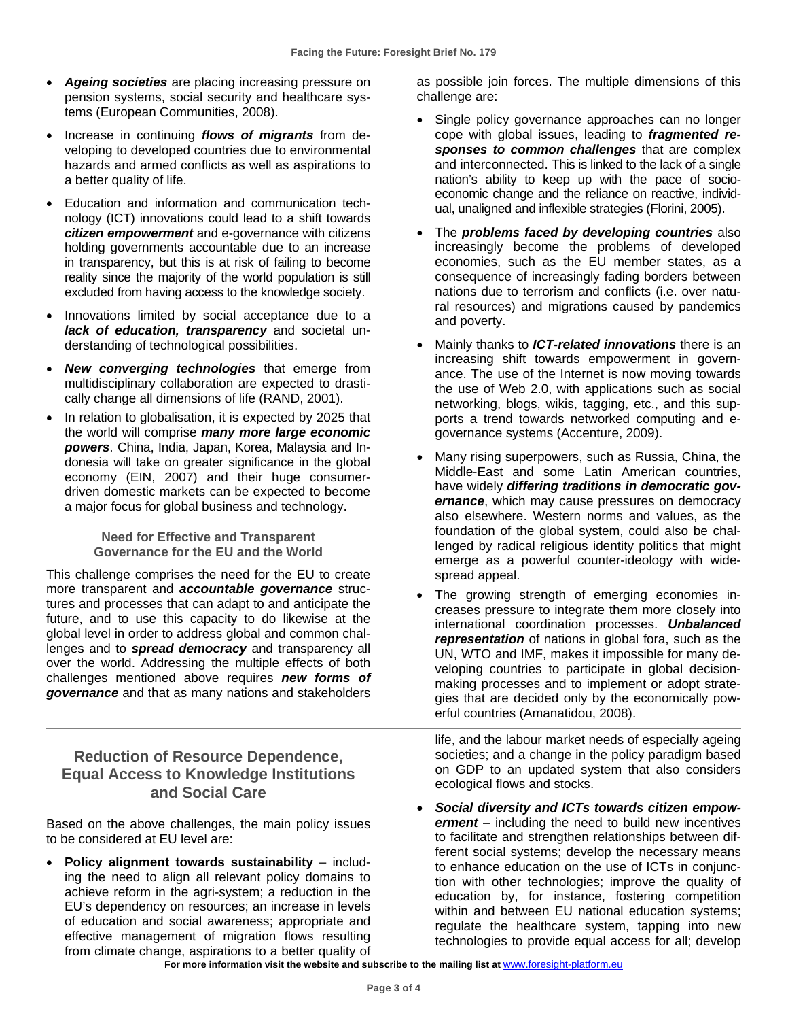- *Ageing societies* are placing increasing pressure on pension systems, social security and healthcare systems (European Communities, 2008).
- Increase in continuing *flows of migrants* from developing to developed countries due to environmental hazards and armed conflicts as well as aspirations to a better quality of life.
- Education and information and communication technology (ICT) innovations could lead to a shift towards *citizen empowerment* and e-governance with citizens holding governments accountable due to an increase in transparency, but this is at risk of failing to become reality since the majority of the world population is still excluded from having access to the knowledge society.
- Innovations limited by social acceptance due to a *lack of education, transparency* and societal understanding of technological possibilities.
- *New converging technologies* that emerge from multidisciplinary collaboration are expected to drastically change all dimensions of life (RAND, 2001).
- In relation to globalisation, it is expected by 2025 that the world will comprise *many more large economic powers*. China, India, Japan, Korea, Malaysia and Indonesia will take on greater significance in the global economy (EIN, 2007) and their huge consumerdriven domestic markets can be expected to become a major focus for global business and technology.

#### **Need for Effective and Transparent Governance for the EU and the World**

This challenge comprises the need for the EU to create more transparent and *accountable governance* structures and processes that can adapt to and anticipate the future, and to use this capacity to do likewise at the global level in order to address global and common challenges and to *spread democracy* and transparency all over the world. Addressing the multiple effects of both challenges mentioned above requires *new forms of governance* and that as many nations and stakeholders

#### **Reduction of Resource Dependence, Equal Access to Knowledge Institutions and Social Care**

Based on the above challenges, the main policy issues to be considered at EU level are:

• **Policy alignment towards sustainability** – including the need to align all relevant policy domains to achieve reform in the agri-system; a reduction in the EU's dependency on resources; an increase in levels of education and social awareness; appropriate and effective management of migration flows resulting from climate change, aspirations to a better quality of

as possible join forces. The multiple dimensions of this challenge are:

- Single policy governance approaches can no longer cope with global issues, leading to *fragmented responses to common challenges* that are complex and interconnected. This is linked to the lack of a single nation's ability to keep up with the pace of socioeconomic change and the reliance on reactive, individual, unaligned and inflexible strategies (Florini, 2005).
- The *problems faced by developing countries* also increasingly become the problems of developed economies, such as the EU member states, as a consequence of increasingly fading borders between nations due to terrorism and conflicts (i.e. over natural resources) and migrations caused by pandemics and poverty.
- Mainly thanks to *ICT-related innovations* there is an increasing shift towards empowerment in governance. The use of the Internet is now moving towards the use of Web 2.0, with applications such as social networking, blogs, wikis, tagging, etc., and this supports a trend towards networked computing and egovernance systems (Accenture, 2009).
- Many rising superpowers, such as Russia, China, the Middle-East and some Latin American countries, have widely *differing traditions in democratic governance*, which may cause pressures on democracy also elsewhere. Western norms and values, as the foundation of the global system, could also be challenged by radical religious identity politics that might emerge as a powerful counter-ideology with widespread appeal.
- The growing strength of emerging economies increases pressure to integrate them more closely into international coordination processes. *Unbalanced representation* of nations in global fora, such as the UN, WTO and IMF, makes it impossible for many developing countries to participate in global decisionmaking processes and to implement or adopt strategies that are decided only by the economically powerful countries (Amanatidou, 2008).

life, and the labour market needs of especially ageing societies; and a change in the policy paradigm based on GDP to an updated system that also considers ecological flows and stocks.

• *Social diversity and ICTs towards citizen empowerment* – including the need to build new incentives to facilitate and strengthen relationships between different social systems; develop the necessary means to enhance education on the use of ICTs in conjunction with other technologies; improve the quality of education by, for instance, fostering competition within and between EU national education systems; regulate the healthcare system, tapping into new technologies to provide equal access for all; develop

For more information visit the website and subscribe to the mailing list at [www.foresight-platform.eu](http://www.foresight-platform.eu/)